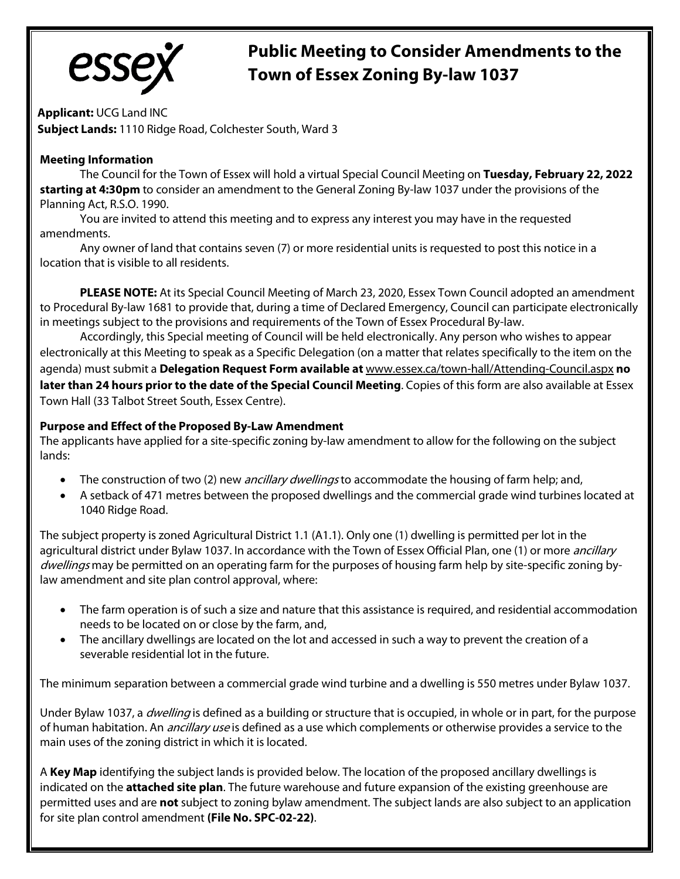

# **Public Meeting to Consider Amendments to the Town of Essex Zoning By-law 1037**

**Applicant:** UCG Land INC **Subject Lands:** 1110 Ridge Road, Colchester South, Ward 3

## **Meeting Information**

The Council for the Town of Essex will hold a virtual Special Council Meeting on **Tuesday, February 22, 2022 starting at 4:30pm** to consider an amendment to the General Zoning By-law 1037 under the provisions of the Planning Act, R.S.O. 1990.

You are invited to attend this meeting and to express any interest you may have in the requested amendments.

Any owner of land that contains seven (7) or more residential units is requested to post this notice in a location that is visible to all residents.

**PLEASE NOTE:** At its Special Council Meeting of March 23, 2020, Essex Town Council adopted an amendment to Procedural By-law 1681 to provide that, during a time of Declared Emergency, Council can participate electronically in meetings subject to the provisions and requirements of the Town of Essex Procedural By-law.

Accordingly, this Special meeting of Council will be held electronically. Any person who wishes to appear electronically at this Meeting to speak as a Specific Delegation (on a matter that relates specifically to the item on the agenda) must submit a **Delegation Request Form available at** [www.essex.ca/town-hall/Attending-Council.aspx](http://www.essex.ca/town-hall/Attending-Council.aspx) **no later than 24 hours prior to the date of the Special Council Meeting**. Copies of this form are also available at Essex Town Hall (33 Talbot Street South, Essex Centre).

### **Purpose and Effect of the Proposed By-Law Amendment**

The applicants have applied for a site-specific zoning by-law amendment to allow for the following on the subject lands:

- The construction of two (2) new *ancillary dwellings* to accommodate the housing of farm help; and,
- A setback of 471 metres between the proposed dwellings and the commercial grade wind turbines located at 1040 Ridge Road.

The subject property is zoned Agricultural District 1.1 (A1.1). Only one (1) dwelling is permitted per lot in the agricultural district under Bylaw 1037. In accordance with the Town of Essex Official Plan, one (1) or more *ancillary* dwellings may be permitted on an operating farm for the purposes of housing farm help by site-specific zoning bylaw amendment and site plan control approval, where:

- The farm operation is of such a size and nature that this assistance is required, and residential accommodation needs to be located on or close by the farm, and,
- The ancillary dwellings are located on the lot and accessed in such a way to prevent the creation of a severable residential lot in the future.

The minimum separation between a commercial grade wind turbine and a dwelling is 550 metres under Bylaw 1037.

Under Bylaw 1037, a *dwelling* is defined as a building or structure that is occupied, in whole or in part, for the purpose of human habitation. An *ancillary use* is defined as a use which complements or otherwise provides a service to the main uses of the zoning district in which it is located.

A **Key Map** identifying the subject lands is provided below. The location of the proposed ancillary dwellings is indicated on the **attached site plan**. The future warehouse and future expansion of the existing greenhouse are permitted uses and are **not** subject to zoning bylaw amendment. The subject lands are also subject to an application for site plan control amendment **(File No. SPC-02-22)**.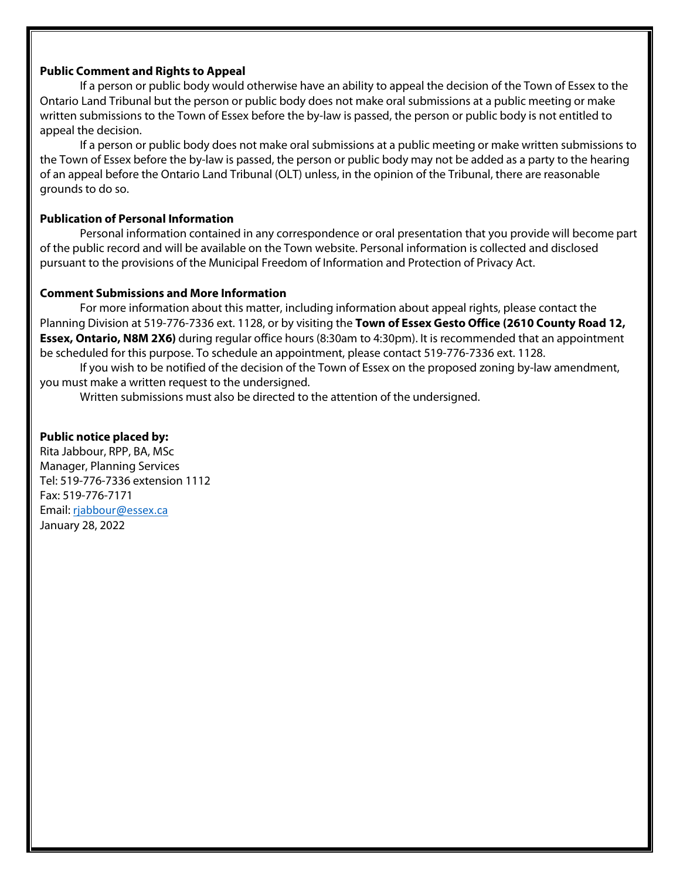#### **Public Comment and Rights to Appeal**

If a person or public body would otherwise have an ability to appeal the decision of the Town of Essex to the Ontario Land Tribunal but the person or public body does not make oral submissions at a public meeting or make written submissions to the Town of Essex before the by-law is passed, the person or public body is not entitled to appeal the decision.

If a person or public body does not make oral submissions at a public meeting or make written submissions to the Town of Essex before the by-law is passed, the person or public body may not be added as a party to the hearing of an appeal before the Ontario Land Tribunal (OLT) unless, in the opinion of the Tribunal, there are reasonable grounds to do so.

#### **Publication of Personal Information**

Personal information contained in any correspondence or oral presentation that you provide will become part of the public record and will be available on the Town website. Personal information is collected and disclosed pursuant to the provisions of the Municipal Freedom of Information and Protection of Privacy Act.

#### **Comment Submissions and More Information**

For more information about this matter, including information about appeal rights, please contact the Planning Division at 519-776-7336 ext. 1128, or by visiting the **Town of Essex Gesto Office (2610 County Road 12, Essex, Ontario, N8M 2X6)** during regular office hours (8:30am to 4:30pm). It is recommended that an appointment be scheduled for this purpose. To schedule an appointment, please contact 519-776-7336 ext. 1128.

If you wish to be notified of the decision of the Town of Essex on the proposed zoning by-law amendment, you must make a written request to the undersigned.

Written submissions must also be directed to the attention of the undersigned.

#### **Public notice placed by:**

Rita Jabbour, RPP, BA, MSc Manager, Planning Services Tel: 519-776-7336 extension 1112 Fax: 519-776-7171 Email: [rjabbour@essex.ca](mailto:rjabbour@essex.ca) January 28, 2022